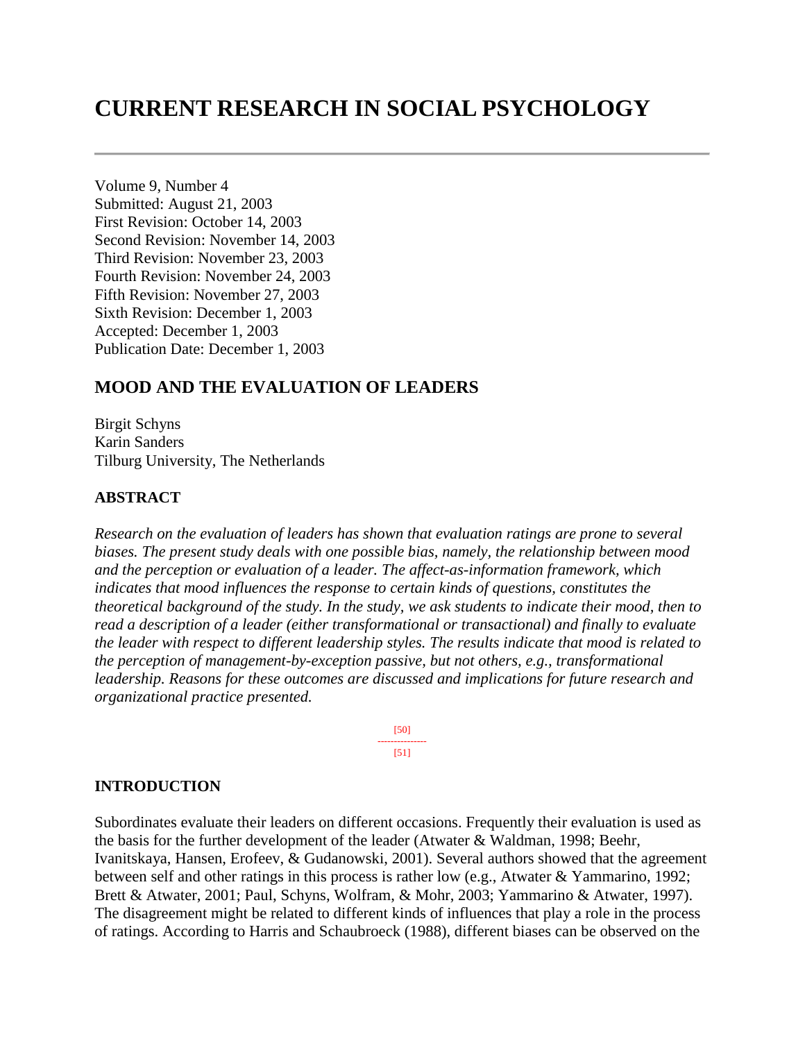# **CURRENT RESEARCH IN SOCIAL PSYCHOLOGY**

Volume 9, Number 4 Submitted: August 21, 2003 First Revision: October 14, 2003 Second Revision: November 14, 2003 Third Revision: November 23, 2003 Fourth Revision: November 24, 2003 Fifth Revision: November 27, 2003 Sixth Revision: December 1, 2003 Accepted: December 1, 2003 Publication Date: December 1, 2003

# **MOOD AND THE EVALUATION OF LEADERS**

Birgit Schyns Karin Sanders Tilburg University, The Netherlands

#### **ABSTRACT**

*Research on the evaluation of leaders has shown that evaluation ratings are prone to several biases. The present study deals with one possible bias, namely, the relationship between mood and the perception or evaluation of a leader. The affect-as-information framework, which indicates that mood influences the response to certain kinds of questions, constitutes the theoretical background of the study. In the study, we ask students to indicate their mood, then to read a description of a leader (either transformational or transactional) and finally to evaluate the leader with respect to different leadership styles. The results indicate that mood is related to the perception of management-by-exception passive, but not others, e.g., transformational leadership. Reasons for these outcomes are discussed and implications for future research and organizational practice presented.*

> [50] --------------- [51]

#### **INTRODUCTION**

Subordinates evaluate their leaders on different occasions. Frequently their evaluation is used as the basis for the further development of the leader (Atwater & Waldman, 1998; Beehr, Ivanitskaya, Hansen, Erofeev, & Gudanowski, 2001). Several authors showed that the agreement between self and other ratings in this process is rather low (e.g., Atwater & Yammarino, 1992; Brett & Atwater, 2001; Paul, Schyns, Wolfram, & Mohr, 2003; Yammarino & Atwater, 1997). The disagreement might be related to different kinds of influences that play a role in the process of ratings. According to Harris and Schaubroeck (1988), different biases can be observed on the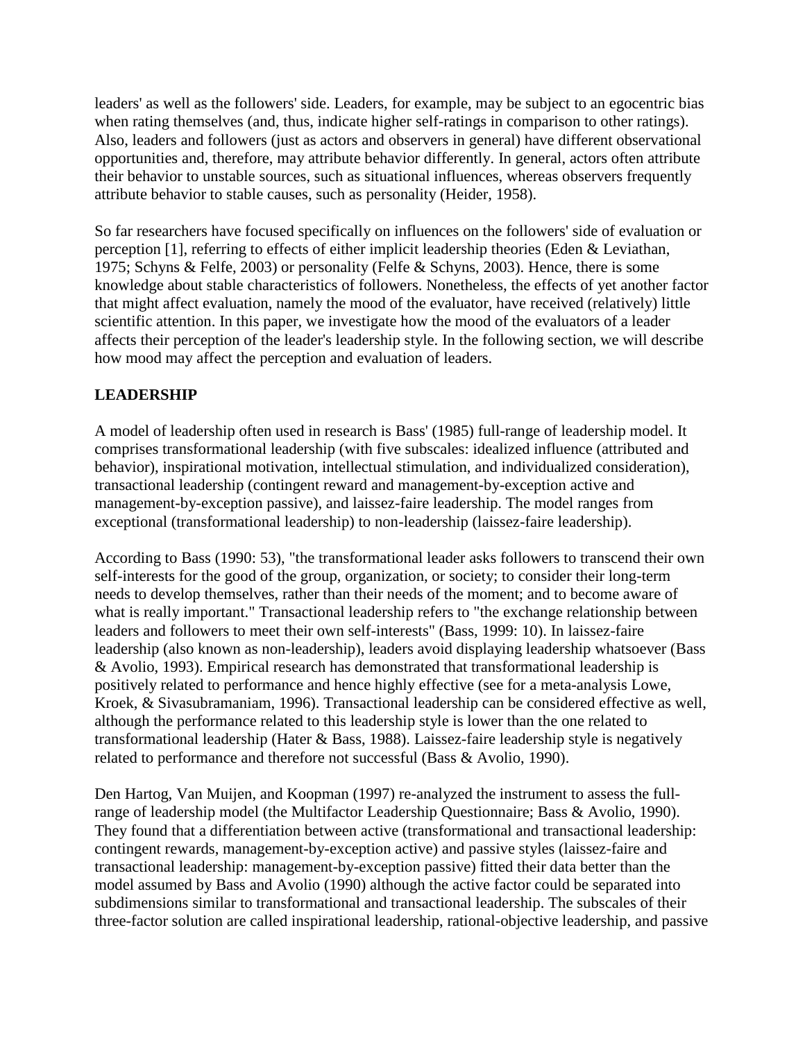leaders' as well as the followers' side. Leaders, for example, may be subject to an egocentric bias when rating themselves (and, thus, indicate higher self-ratings in comparison to other ratings). Also, leaders and followers (just as actors and observers in general) have different observational opportunities and, therefore, may attribute behavior differently. In general, actors often attribute their behavior to unstable sources, such as situational influences, whereas observers frequently attribute behavior to stable causes, such as personality (Heider, 1958).

So far researchers have focused specifically on influences on the followers' side of evaluation or perception [1], referring to effects of either implicit leadership theories (Eden & Leviathan, 1975; Schyns & Felfe, 2003) or personality (Felfe & Schyns, 2003). Hence, there is some knowledge about stable characteristics of followers. Nonetheless, the effects of yet another factor that might affect evaluation, namely the mood of the evaluator, have received (relatively) little scientific attention. In this paper, we investigate how the mood of the evaluators of a leader affects their perception of the leader's leadership style. In the following section, we will describe how mood may affect the perception and evaluation of leaders.

# **LEADERSHIP**

A model of leadership often used in research is Bass' (1985) full-range of leadership model. It comprises transformational leadership (with five subscales: idealized influence (attributed and behavior), inspirational motivation, intellectual stimulation, and individualized consideration), transactional leadership (contingent reward and management-by-exception active and management-by-exception passive), and laissez-faire leadership. The model ranges from exceptional (transformational leadership) to non-leadership (laissez-faire leadership).

According to Bass (1990: 53), "the transformational leader asks followers to transcend their own self-interests for the good of the group, organization, or society; to consider their long-term needs to develop themselves, rather than their needs of the moment; and to become aware of what is really important." Transactional leadership refers to "the exchange relationship between leaders and followers to meet their own self-interests" (Bass, 1999: 10). In laissez-faire leadership (also known as non-leadership), leaders avoid displaying leadership whatsoever (Bass & Avolio, 1993). Empirical research has demonstrated that transformational leadership is positively related to performance and hence highly effective (see for a meta-analysis Lowe, Kroek, & Sivasubramaniam, 1996). Transactional leadership can be considered effective as well, although the performance related to this leadership style is lower than the one related to transformational leadership (Hater & Bass, 1988). Laissez-faire leadership style is negatively related to performance and therefore not successful (Bass & Avolio, 1990).

Den Hartog, Van Muijen, and Koopman (1997) re-analyzed the instrument to assess the fullrange of leadership model (the Multifactor Leadership Questionnaire; Bass & Avolio, 1990). They found that a differentiation between active (transformational and transactional leadership: contingent rewards, management-by-exception active) and passive styles (laissez-faire and transactional leadership: management-by-exception passive) fitted their data better than the model assumed by Bass and Avolio (1990) although the active factor could be separated into subdimensions similar to transformational and transactional leadership. The subscales of their three-factor solution are called inspirational leadership, rational-objective leadership, and passive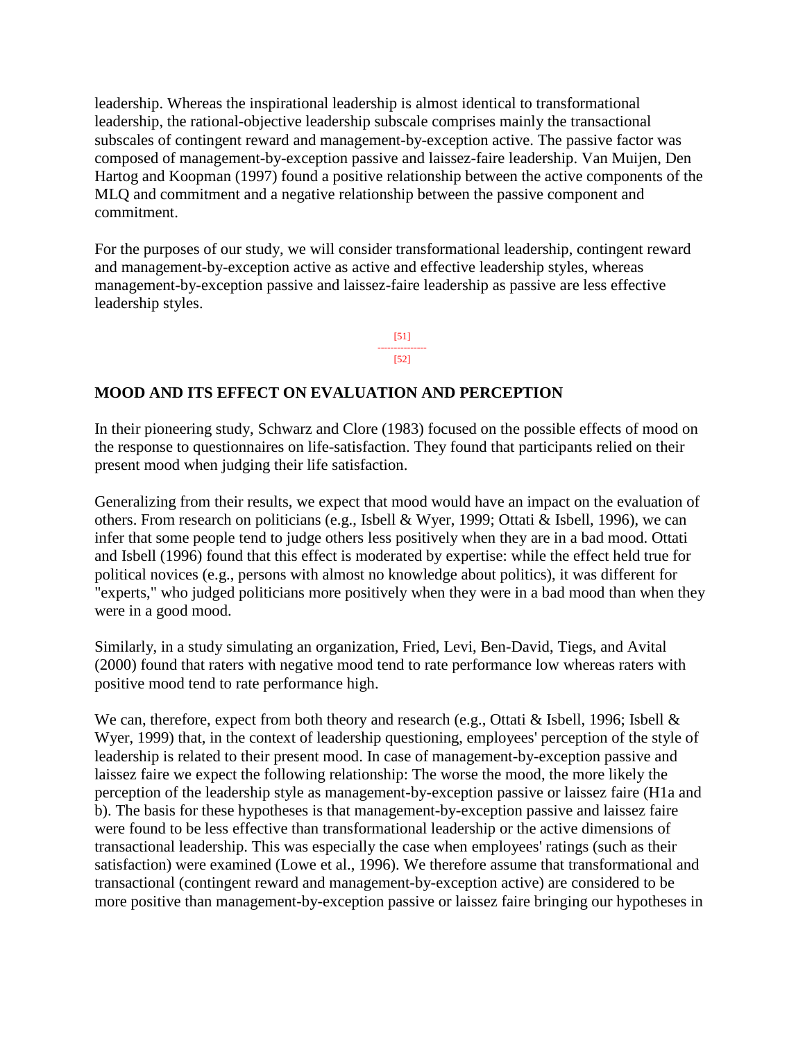leadership. Whereas the inspirational leadership is almost identical to transformational leadership, the rational-objective leadership subscale comprises mainly the transactional subscales of contingent reward and management-by-exception active. The passive factor was composed of management-by-exception passive and laissez-faire leadership. Van Muijen, Den Hartog and Koopman (1997) found a positive relationship between the active components of the MLQ and commitment and a negative relationship between the passive component and commitment.

For the purposes of our study, we will consider transformational leadership, contingent reward and management-by-exception active as active and effective leadership styles, whereas management-by-exception passive and laissez-faire leadership as passive are less effective leadership styles.

> [51] --------------- [52]

## **MOOD AND ITS EFFECT ON EVALUATION AND PERCEPTION**

In their pioneering study, Schwarz and Clore (1983) focused on the possible effects of mood on the response to questionnaires on life-satisfaction. They found that participants relied on their present mood when judging their life satisfaction.

Generalizing from their results, we expect that mood would have an impact on the evaluation of others. From research on politicians (e.g., Isbell & Wyer, 1999; Ottati & Isbell, 1996), we can infer that some people tend to judge others less positively when they are in a bad mood. Ottati and Isbell (1996) found that this effect is moderated by expertise: while the effect held true for political novices (e.g., persons with almost no knowledge about politics), it was different for "experts," who judged politicians more positively when they were in a bad mood than when they were in a good mood.

Similarly, in a study simulating an organization, Fried, Levi, Ben-David, Tiegs, and Avital (2000) found that raters with negative mood tend to rate performance low whereas raters with positive mood tend to rate performance high.

We can, therefore, expect from both theory and research (e.g., Ottati & Isbell, 1996; Isbell & Wyer, 1999) that, in the context of leadership questioning, employees' perception of the style of leadership is related to their present mood. In case of management-by-exception passive and laissez faire we expect the following relationship: The worse the mood, the more likely the perception of the leadership style as management-by-exception passive or laissez faire (H1a and b). The basis for these hypotheses is that management-by-exception passive and laissez faire were found to be less effective than transformational leadership or the active dimensions of transactional leadership. This was especially the case when employees' ratings (such as their satisfaction) were examined (Lowe et al., 1996). We therefore assume that transformational and transactional (contingent reward and management-by-exception active) are considered to be more positive than management-by-exception passive or laissez faire bringing our hypotheses in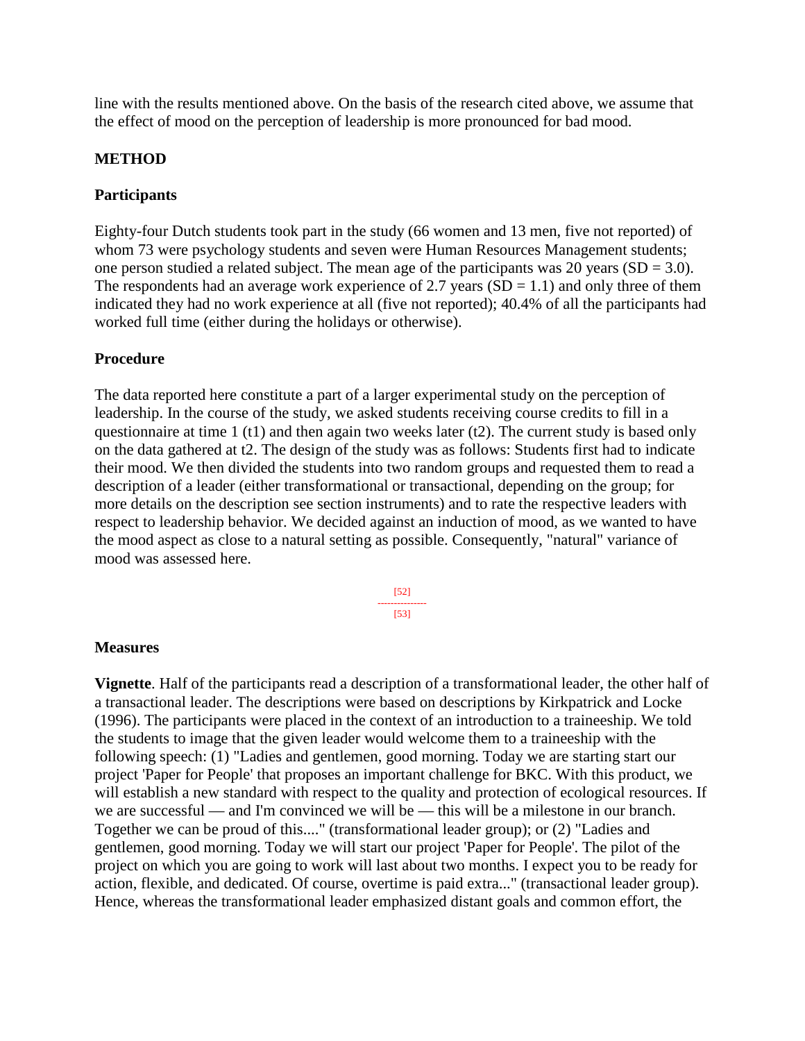line with the results mentioned above. On the basis of the research cited above, we assume that the effect of mood on the perception of leadership is more pronounced for bad mood.

## **METHOD**

## **Participants**

Eighty-four Dutch students took part in the study (66 women and 13 men, five not reported) of whom 73 were psychology students and seven were Human Resources Management students; one person studied a related subject. The mean age of the participants was 20 years  $(SD = 3.0)$ . The respondents had an average work experience of 2.7 years  $(SD = 1.1)$  and only three of them indicated they had no work experience at all (five not reported); 40.4% of all the participants had worked full time (either during the holidays or otherwise).

## **Procedure**

The data reported here constitute a part of a larger experimental study on the perception of leadership. In the course of the study, we asked students receiving course credits to fill in a questionnaire at time 1 (t1) and then again two weeks later (t2). The current study is based only on the data gathered at t2. The design of the study was as follows: Students first had to indicate their mood. We then divided the students into two random groups and requested them to read a description of a leader (either transformational or transactional, depending on the group; for more details on the description see section instruments) and to rate the respective leaders with respect to leadership behavior. We decided against an induction of mood, as we wanted to have the mood aspect as close to a natural setting as possible. Consequently, "natural" variance of mood was assessed here.

> [52] --------------- [53]

#### **Measures**

**Vignette**. Half of the participants read a description of a transformational leader, the other half of a transactional leader. The descriptions were based on descriptions by Kirkpatrick and Locke (1996). The participants were placed in the context of an introduction to a traineeship. We told the students to image that the given leader would welcome them to a traineeship with the following speech: (1) "Ladies and gentlemen, good morning. Today we are starting start our project 'Paper for People' that proposes an important challenge for BKC. With this product, we will establish a new standard with respect to the quality and protection of ecological resources. If we are successful — and I'm convinced we will be — this will be a milestone in our branch. Together we can be proud of this...." (transformational leader group); or (2) "Ladies and gentlemen, good morning. Today we will start our project 'Paper for People'. The pilot of the project on which you are going to work will last about two months. I expect you to be ready for action, flexible, and dedicated. Of course, overtime is paid extra..." (transactional leader group). Hence, whereas the transformational leader emphasized distant goals and common effort, the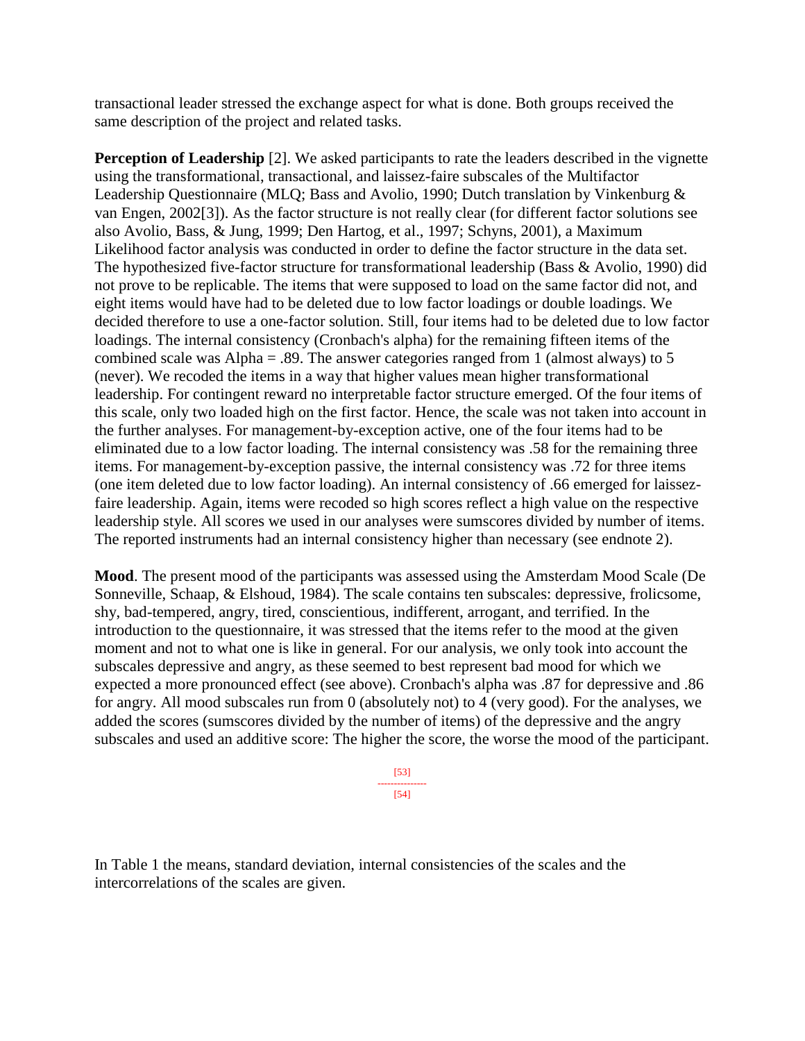transactional leader stressed the exchange aspect for what is done. Both groups received the same description of the project and related tasks.

**Perception of Leadership** [2]. We asked participants to rate the leaders described in the vignette using the transformational, transactional, and laissez-faire subscales of the Multifactor Leadership Questionnaire (MLQ; Bass and Avolio, 1990; Dutch translation by Vinkenburg & van Engen, 2002[3]). As the factor structure is not really clear (for different factor solutions see also Avolio, Bass, & Jung, 1999; Den Hartog, et al., 1997; Schyns, 2001), a Maximum Likelihood factor analysis was conducted in order to define the factor structure in the data set. The hypothesized five-factor structure for transformational leadership (Bass & Avolio, 1990) did not prove to be replicable. The items that were supposed to load on the same factor did not, and eight items would have had to be deleted due to low factor loadings or double loadings. We decided therefore to use a one-factor solution. Still, four items had to be deleted due to low factor loadings. The internal consistency (Cronbach's alpha) for the remaining fifteen items of the combined scale was Alpha = .89. The answer categories ranged from 1 (almost always) to 5 (never). We recoded the items in a way that higher values mean higher transformational leadership. For contingent reward no interpretable factor structure emerged. Of the four items of this scale, only two loaded high on the first factor. Hence, the scale was not taken into account in the further analyses. For management-by-exception active, one of the four items had to be eliminated due to a low factor loading. The internal consistency was .58 for the remaining three items. For management-by-exception passive, the internal consistency was .72 for three items (one item deleted due to low factor loading). An internal consistency of .66 emerged for laissezfaire leadership. Again, items were recoded so high scores reflect a high value on the respective leadership style. All scores we used in our analyses were sumscores divided by number of items. The reported instruments had an internal consistency higher than necessary (see endnote 2).

**Mood**. The present mood of the participants was assessed using the Amsterdam Mood Scale (De Sonneville, Schaap, & Elshoud, 1984). The scale contains ten subscales: depressive, frolicsome, shy, bad-tempered, angry, tired, conscientious, indifferent, arrogant, and terrified. In the introduction to the questionnaire, it was stressed that the items refer to the mood at the given moment and not to what one is like in general. For our analysis, we only took into account the subscales depressive and angry, as these seemed to best represent bad mood for which we expected a more pronounced effect (see above). Cronbach's alpha was .87 for depressive and .86 for angry. All mood subscales run from 0 (absolutely not) to 4 (very good). For the analyses, we added the scores (sumscores divided by the number of items) of the depressive and the angry subscales and used an additive score: The higher the score, the worse the mood of the participant.

> [53] --------------- [54]

In Table 1 the means, standard deviation, internal consistencies of the scales and the intercorrelations of the scales are given.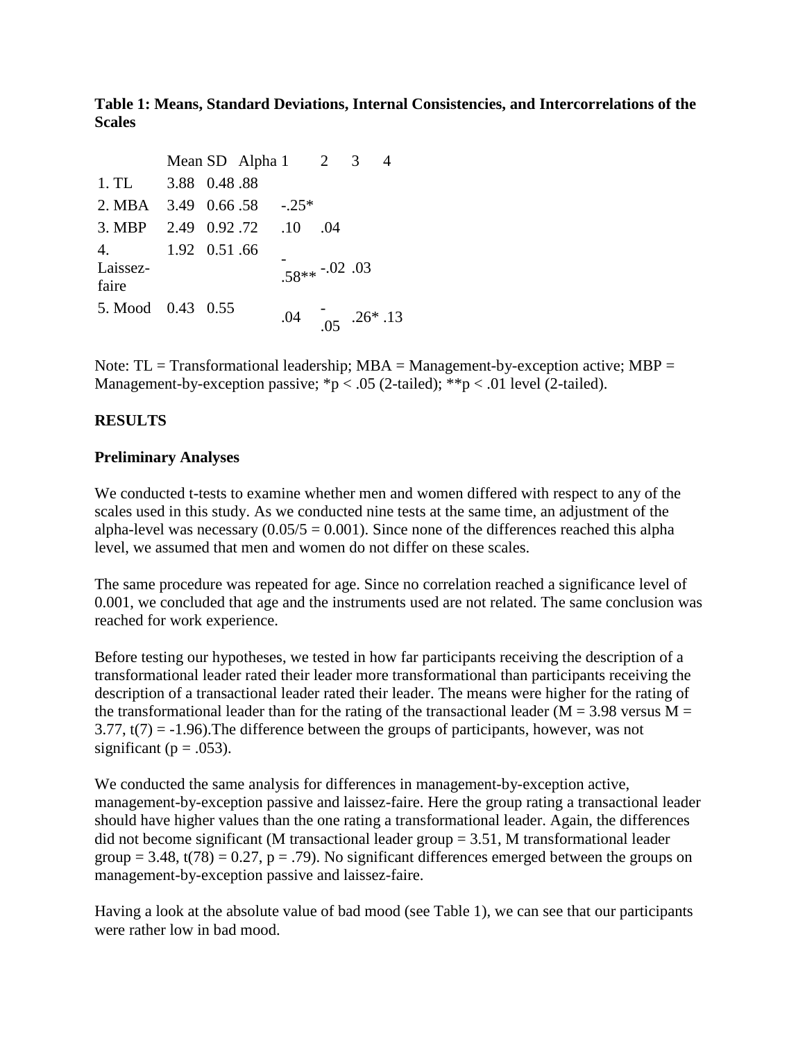**Table 1: Means, Standard Deviations, Internal Consistencies, and Intercorrelations of the Scales**

|                                     |               | Mean SD Alpha $1 \quad 2$ |                          |     | 3 |  |
|-------------------------------------|---------------|---------------------------|--------------------------|-----|---|--|
| 1.TL                                | 3.88 0.48 .88 |                           |                          |     |   |  |
| 2. MBA $3.49 \quad 0.66.58$ $-.25*$ |               |                           |                          |     |   |  |
| 3. MBP                              | 2.49 0.92.72  |                           | $.10\,$                  | .04 |   |  |
| 4.<br>Laissez-<br>faire             | 1.92 0.51 .66 |                           | $.58***-.02$ .03         |     |   |  |
| 5. Mood 0.43 0.55                   |               |                           | $.04$ $.05$ $.26*$ $.13$ |     |   |  |

Note:  $TL = Transformational leadership$ ;  $MBA = Management-by-exception active$ ;  $MBP =$ Management-by-exception passive;  $np < .05$  (2-tailed);  $**p < .01$  level (2-tailed).

# **RESULTS**

#### **Preliminary Analyses**

We conducted t-tests to examine whether men and women differed with respect to any of the scales used in this study. As we conducted nine tests at the same time, an adjustment of the alpha-level was necessary  $(0.05/5 = 0.001)$ . Since none of the differences reached this alpha level, we assumed that men and women do not differ on these scales.

The same procedure was repeated for age. Since no correlation reached a significance level of 0.001, we concluded that age and the instruments used are not related. The same conclusion was reached for work experience.

Before testing our hypotheses, we tested in how far participants receiving the description of a transformational leader rated their leader more transformational than participants receiving the description of a transactional leader rated their leader. The means were higher for the rating of the transformational leader than for the rating of the transactional leader ( $M = 3.98$  versus  $M =$ 3.77,  $t(7) = -1.96$ ). The difference between the groups of participants, however, was not significant ( $p = .053$ ).

We conducted the same analysis for differences in management-by-exception active, management-by-exception passive and laissez-faire. Here the group rating a transactional leader should have higher values than the one rating a transformational leader. Again, the differences did not become significant (M transactional leader group = 3.51, M transformational leader group = 3.48,  $t(78) = 0.27$ , p = .79). No significant differences emerged between the groups on management-by-exception passive and laissez-faire.

Having a look at the absolute value of bad mood (see Table 1), we can see that our participants were rather low in bad mood.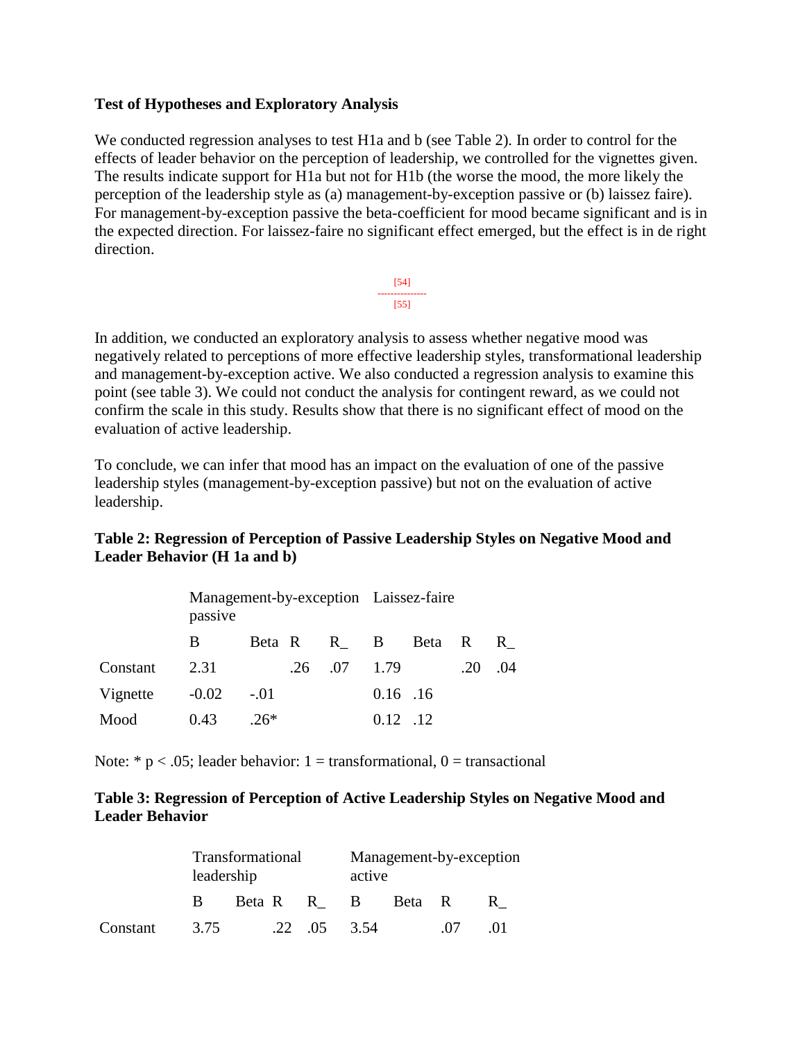## **Test of Hypotheses and Exploratory Analysis**

We conducted regression analyses to test H1a and b (see Table 2). In order to control for the effects of leader behavior on the perception of leadership, we controlled for the vignettes given. The results indicate support for H1a but not for H1b (the worse the mood, the more likely the perception of the leadership style as (a) management-by-exception passive or (b) laissez faire). For management-by-exception passive the beta-coefficient for mood became significant and is in the expected direction. For laissez-faire no significant effect emerged, but the effect is in de right direction.



In addition, we conducted an exploratory analysis to assess whether negative mood was negatively related to perceptions of more effective leadership styles, transformational leadership and management-by-exception active. We also conducted a regression analysis to examine this point (see table 3). We could not conduct the analysis for contingent reward, as we could not confirm the scale in this study. Results show that there is no significant effect of mood on the evaluation of active leadership.

To conclude, we can infer that mood has an impact on the evaluation of one of the passive leadership styles (management-by-exception passive) but not on the evaluation of active leadership.

# **Table 2: Regression of Perception of Passive Leadership Styles on Negative Mood and Leader Behavior (H 1a and b)**

|          | passive | Management-by-exception Laissez-faire |     |     |            |                   |     |              |
|----------|---------|---------------------------------------|-----|-----|------------|-------------------|-----|--------------|
|          | B       |                                       |     |     |            | Beta R R B Beta R |     | $\mathbb{R}$ |
| Constant | 2.31    |                                       | .26 | .07 | 1.79       |                   | .20 | .04          |
| Vignette | $-0.02$ | $-.01$                                |     |     | $0.16$ .16 |                   |     |              |
| Mood     | 0.43    | $26*$                                 |     |     | $0.12$ .12 |                   |     |              |

Note:  $* p < .05$ ; leader behavior: 1 = transformational, 0 = transactional

## **Table 3: Regression of Perception of Active Leadership Styles on Negative Mood and Leader Behavior**

|          | leadership | Transformational |  | Management-by-exception<br>active |        |     |    |
|----------|------------|------------------|--|-----------------------------------|--------|-----|----|
|          | B.         | Beta R B         |  |                                   | Beta R |     | R. |
| Constant | 3.75       |                  |  | $.22 \quad .05 \quad .3.54$       |        | -07 |    |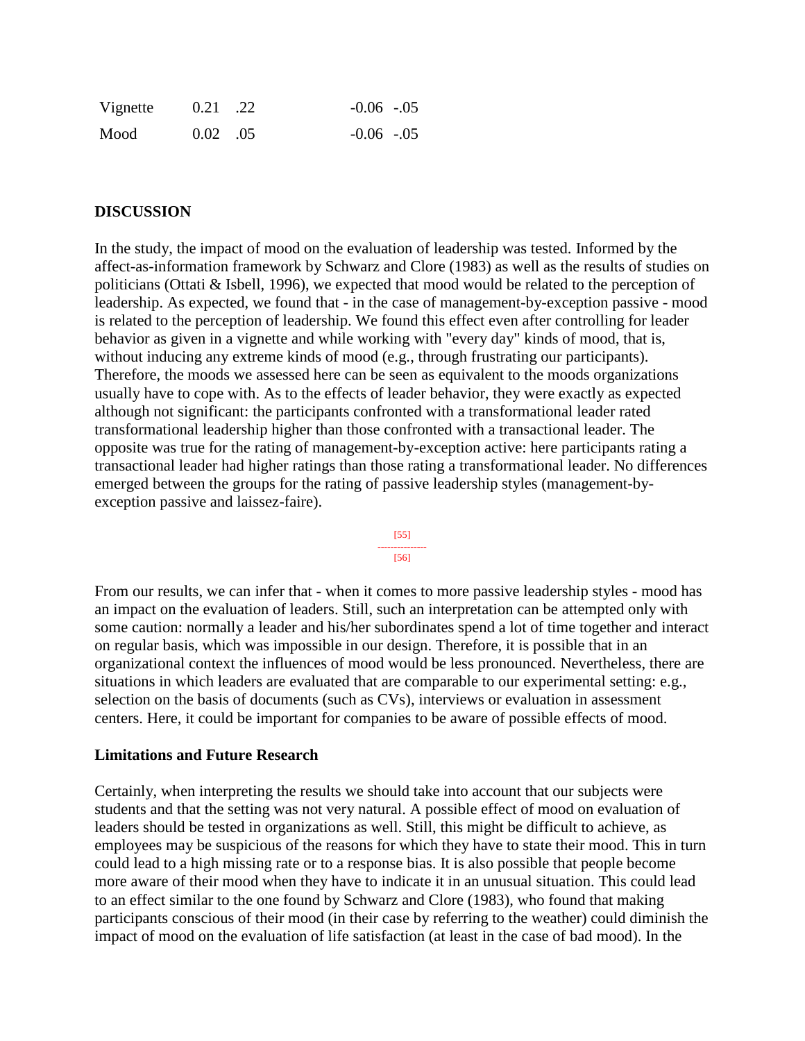| Vignette | $0.21$ .22       | $-0.06$ $-.05$ |  |
|----------|------------------|----------------|--|
| Mood     | $0.02 \quad .05$ | $-0.06$ $-.05$ |  |

#### **DISCUSSION**

In the study, the impact of mood on the evaluation of leadership was tested. Informed by the affect-as-information framework by Schwarz and Clore (1983) as well as the results of studies on politicians (Ottati & Isbell, 1996), we expected that mood would be related to the perception of leadership. As expected, we found that - in the case of management-by-exception passive - mood is related to the perception of leadership. We found this effect even after controlling for leader behavior as given in a vignette and while working with "every day" kinds of mood, that is, without inducing any extreme kinds of mood (e.g., through frustrating our participants). Therefore, the moods we assessed here can be seen as equivalent to the moods organizations usually have to cope with. As to the effects of leader behavior, they were exactly as expected although not significant: the participants confronted with a transformational leader rated transformational leadership higher than those confronted with a transactional leader. The opposite was true for the rating of management-by-exception active: here participants rating a transactional leader had higher ratings than those rating a transformational leader. No differences emerged between the groups for the rating of passive leadership styles (management-byexception passive and laissez-faire).



From our results, we can infer that - when it comes to more passive leadership styles - mood has an impact on the evaluation of leaders. Still, such an interpretation can be attempted only with some caution: normally a leader and his/her subordinates spend a lot of time together and interact on regular basis, which was impossible in our design. Therefore, it is possible that in an organizational context the influences of mood would be less pronounced. Nevertheless, there are situations in which leaders are evaluated that are comparable to our experimental setting: e.g., selection on the basis of documents (such as CVs), interviews or evaluation in assessment centers. Here, it could be important for companies to be aware of possible effects of mood.

#### **Limitations and Future Research**

Certainly, when interpreting the results we should take into account that our subjects were students and that the setting was not very natural. A possible effect of mood on evaluation of leaders should be tested in organizations as well. Still, this might be difficult to achieve, as employees may be suspicious of the reasons for which they have to state their mood. This in turn could lead to a high missing rate or to a response bias. It is also possible that people become more aware of their mood when they have to indicate it in an unusual situation. This could lead to an effect similar to the one found by Schwarz and Clore (1983), who found that making participants conscious of their mood (in their case by referring to the weather) could diminish the impact of mood on the evaluation of life satisfaction (at least in the case of bad mood). In the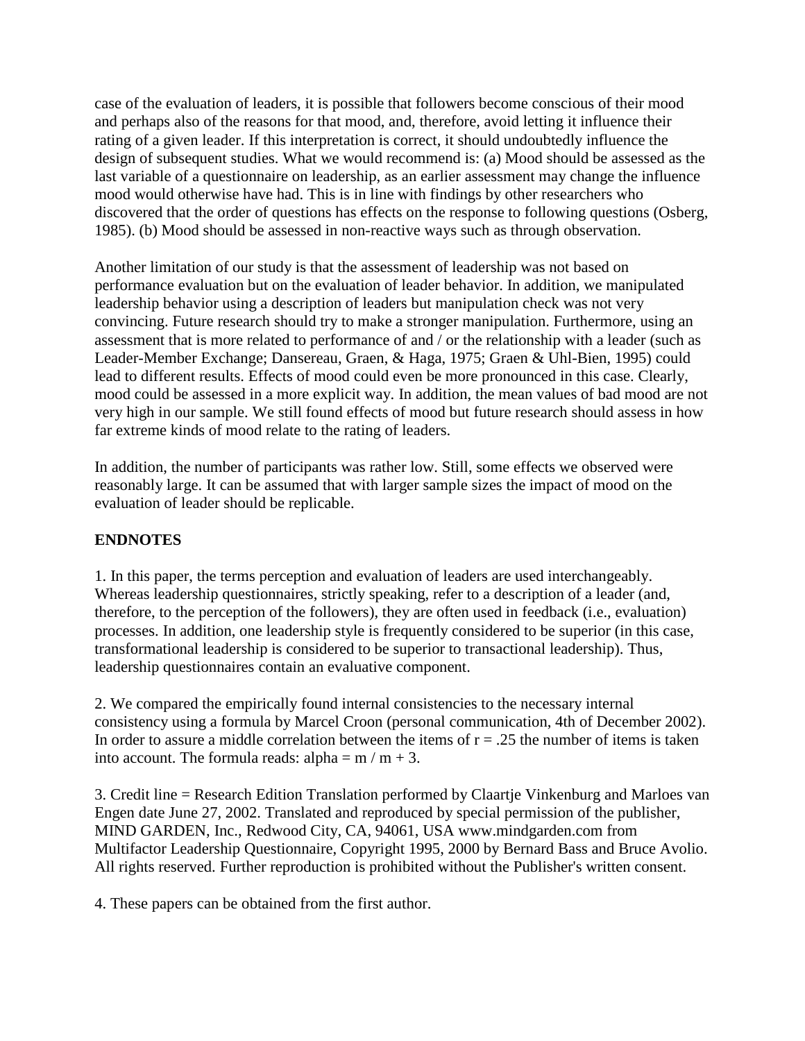case of the evaluation of leaders, it is possible that followers become conscious of their mood and perhaps also of the reasons for that mood, and, therefore, avoid letting it influence their rating of a given leader. If this interpretation is correct, it should undoubtedly influence the design of subsequent studies. What we would recommend is: (a) Mood should be assessed as the last variable of a questionnaire on leadership, as an earlier assessment may change the influence mood would otherwise have had. This is in line with findings by other researchers who discovered that the order of questions has effects on the response to following questions (Osberg, 1985). (b) Mood should be assessed in non-reactive ways such as through observation.

Another limitation of our study is that the assessment of leadership was not based on performance evaluation but on the evaluation of leader behavior. In addition, we manipulated leadership behavior using a description of leaders but manipulation check was not very convincing. Future research should try to make a stronger manipulation. Furthermore, using an assessment that is more related to performance of and / or the relationship with a leader (such as Leader-Member Exchange; Dansereau, Graen, & Haga, 1975; Graen & Uhl-Bien, 1995) could lead to different results. Effects of mood could even be more pronounced in this case. Clearly, mood could be assessed in a more explicit way. In addition, the mean values of bad mood are not very high in our sample. We still found effects of mood but future research should assess in how far extreme kinds of mood relate to the rating of leaders.

In addition, the number of participants was rather low. Still, some effects we observed were reasonably large. It can be assumed that with larger sample sizes the impact of mood on the evaluation of leader should be replicable.

# **ENDNOTES**

1. In this paper, the terms perception and evaluation of leaders are used interchangeably. Whereas leadership questionnaires, strictly speaking, refer to a description of a leader (and, therefore, to the perception of the followers), they are often used in feedback (i.e., evaluation) processes. In addition, one leadership style is frequently considered to be superior (in this case, transformational leadership is considered to be superior to transactional leadership). Thus, leadership questionnaires contain an evaluative component.

2. We compared the empirically found internal consistencies to the necessary internal consistency using a formula by Marcel Croon (personal communication, 4th of December 2002). In order to assure a middle correlation between the items of  $r = .25$  the number of items is taken into account. The formula reads: alpha =  $m / m + 3$ .

3. Credit line = Research Edition Translation performed by Claartje Vinkenburg and Marloes van Engen date June 27, 2002. Translated and reproduced by special permission of the publisher, MIND GARDEN, Inc., Redwood City, CA, 94061, USA www.mindgarden.com from Multifactor Leadership Questionnaire, Copyright 1995, 2000 by Bernard Bass and Bruce Avolio. All rights reserved. Further reproduction is prohibited without the Publisher's written consent.

4. These papers can be obtained from the first author.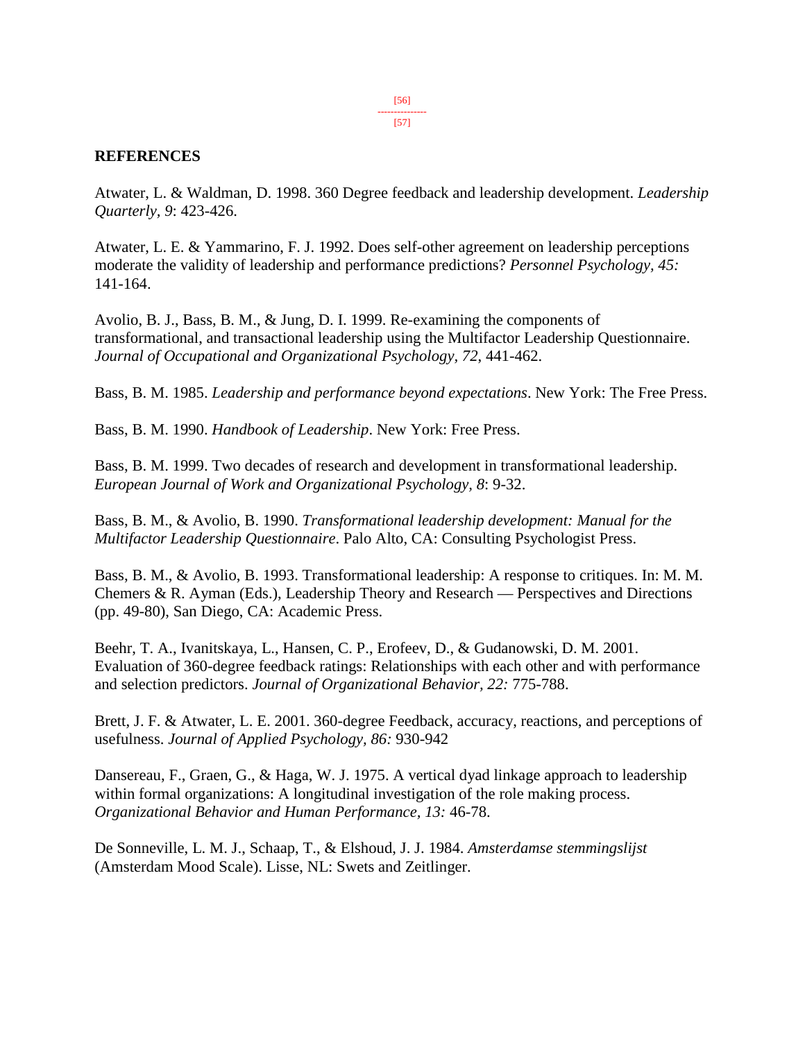#### **REFERENCES**

Atwater, L. & Waldman, D. 1998. 360 Degree feedback and leadership development. *Leadership Quarterly, 9*: 423-426.

Atwater, L. E. & Yammarino, F. J. 1992. Does self-other agreement on leadership perceptions moderate the validity of leadership and performance predictions? *Personnel Psychology, 45:* 141-164.

Avolio, B. J., Bass, B. M., & Jung, D. I. 1999. Re-examining the components of transformational, and transactional leadership using the Multifactor Leadership Questionnaire. *Journal of Occupational and Organizational Psychology, 72*, 441-462.

Bass, B. M. 1985. *Leadership and performance beyond expectations*. New York: The Free Press.

Bass, B. M. 1990. *Handbook of Leadership*. New York: Free Press.

Bass, B. M. 1999. Two decades of research and development in transformational leadership. *European Journal of Work and Organizational Psychology, 8*: 9-32.

Bass, B. M., & Avolio, B. 1990. *Transformational leadership development: Manual for the Multifactor Leadership Questionnaire*. Palo Alto, CA: Consulting Psychologist Press.

Bass, B. M., & Avolio, B. 1993. Transformational leadership: A response to critiques. In: M. M. Chemers & R. Ayman (Eds.), Leadership Theory and Research — Perspectives and Directions (pp. 49-80), San Diego, CA: Academic Press.

Beehr, T. A., Ivanitskaya, L., Hansen, C. P., Erofeev, D., & Gudanowski, D. M. 2001. Evaluation of 360-degree feedback ratings: Relationships with each other and with performance and selection predictors. *Journal of Organizational Behavior, 22:* 775-788.

Brett, J. F. & Atwater, L. E. 2001. 360-degree Feedback, accuracy, reactions, and perceptions of usefulness. *Journal of Applied Psychology, 86:* 930-942

Dansereau, F., Graen, G., & Haga, W. J. 1975. A vertical dyad linkage approach to leadership within formal organizations: A longitudinal investigation of the role making process. *Organizational Behavior and Human Performance, 13:* 46-78.

De Sonneville, L. M. J., Schaap, T., & Elshoud, J. J. 1984. *Amsterdamse stemmingslijst* (Amsterdam Mood Scale). Lisse, NL: Swets and Zeitlinger.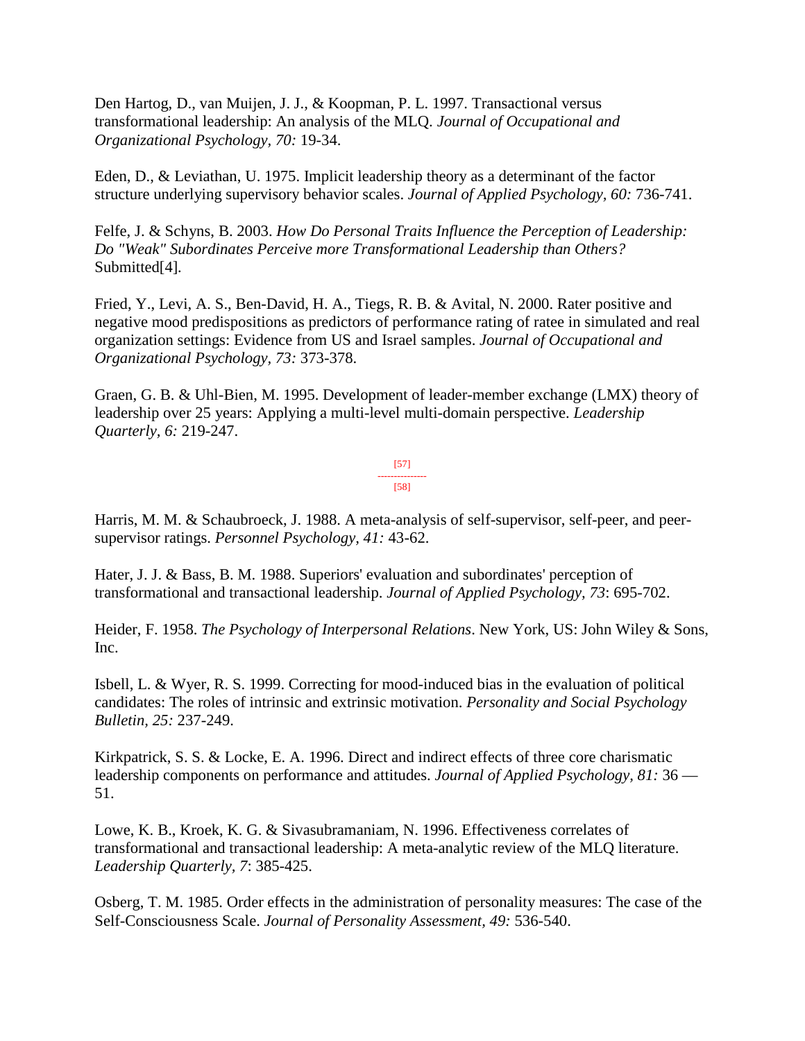Den Hartog, D., van Muijen, J. J., & Koopman, P. L. 1997. Transactional versus transformational leadership: An analysis of the MLQ. *Journal of Occupational and Organizational Psychology, 70:* 19-34.

Eden, D., & Leviathan, U. 1975. Implicit leadership theory as a determinant of the factor structure underlying supervisory behavior scales. *Journal of Applied Psychology, 60:* 736-741.

Felfe, J. & Schyns, B. 2003. *How Do Personal Traits Influence the Perception of Leadership: Do "Weak" Subordinates Perceive more Transformational Leadership than Others?*  Submitted[4]*.*

Fried, Y., Levi, A. S., Ben-David, H. A., Tiegs, R. B. & Avital, N. 2000. Rater positive and negative mood predispositions as predictors of performance rating of ratee in simulated and real organization settings: Evidence from US and Israel samples. *Journal of Occupational and Organizational Psychology, 73:* 373-378.

Graen, G. B. & Uhl-Bien, M. 1995. Development of leader-member exchange (LMX) theory of leadership over 25 years: Applying a multi-level multi-domain perspective. *Leadership Quarterly, 6:* 219-247.

> [57] --------------- [58]

Harris, M. M. & Schaubroeck, J. 1988. A meta-analysis of self-supervisor, self-peer, and peersupervisor ratings. *Personnel Psychology, 41:* 43-62.

Hater, J. J. & Bass, B. M. 1988. Superiors' evaluation and subordinates' perception of transformational and transactional leadership. *Journal of Applied Psychology, 73*: 695-702.

Heider, F. 1958. *The Psychology of Interpersonal Relations*. New York, US: John Wiley & Sons, Inc.

Isbell, L. & Wyer, R. S. 1999. Correcting for mood-induced bias in the evaluation of political candidates: The roles of intrinsic and extrinsic motivation. *Personality and Social Psychology Bulletin, 25:* 237-249.

Kirkpatrick, S. S. & Locke, E. A. 1996. Direct and indirect effects of three core charismatic leadership components on performance and attitudes. *Journal of Applied Psychology, 81:* 36 — 51.

Lowe, K. B., Kroek, K. G. & Sivasubramaniam, N. 1996. Effectiveness correlates of transformational and transactional leadership: A meta-analytic review of the MLQ literature. *Leadership Quarterly, 7*: 385-425.

Osberg, T. M. 1985. Order effects in the administration of personality measures: The case of the Self-Consciousness Scale. *Journal of Personality Assessment, 49:* 536-540.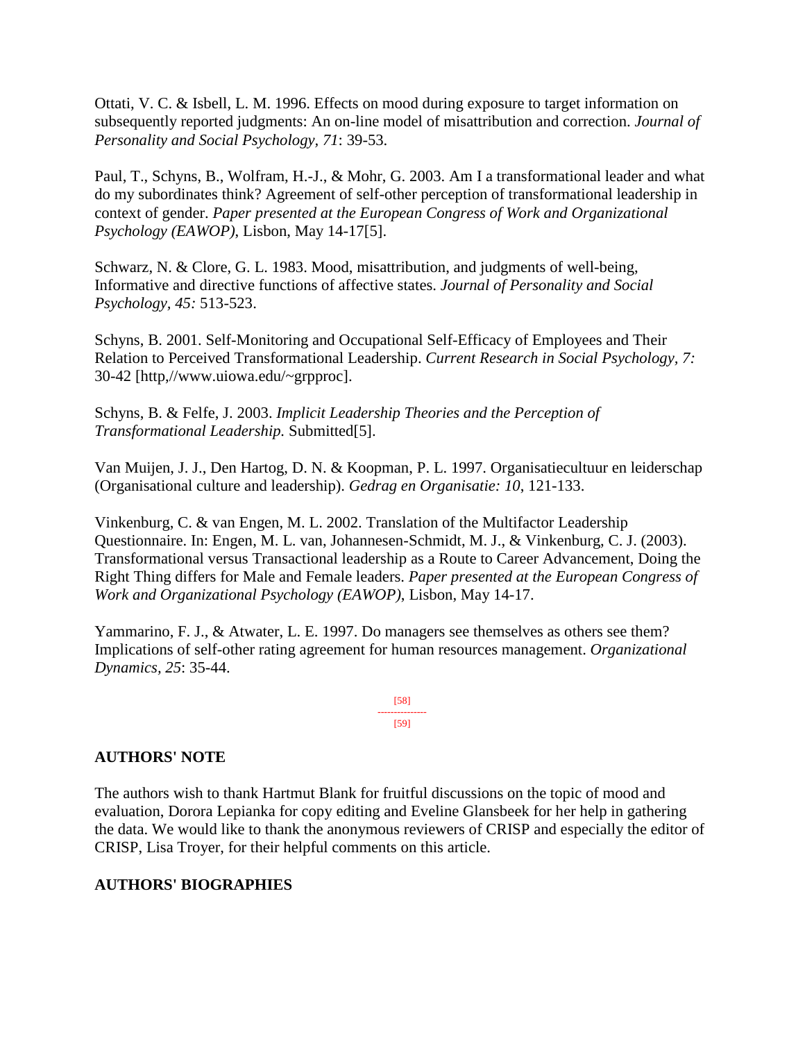Ottati, V. C. & Isbell, L. M. 1996. Effects on mood during exposure to target information on subsequently reported judgments: An on-line model of misattribution and correction. *Journal of Personality and Social Psychology, 71*: 39-53.

Paul, T., Schyns, B., Wolfram, H.-J., & Mohr, G. 2003. Am I a transformational leader and what do my subordinates think? Agreement of self-other perception of transformational leadership in context of gender. *Paper presented at the European Congress of Work and Organizational Psychology (EAWOP)*, Lisbon, May 14-17[5].

Schwarz, N. & Clore, G. L. 1983. Mood, misattribution, and judgments of well-being, Informative and directive functions of affective states. *Journal of Personality and Social Psychology, 45:* 513-523.

Schyns, B. 2001. Self-Monitoring and Occupational Self-Efficacy of Employees and Their Relation to Perceived Transformational Leadership. *Current Research in Social Psychology, 7:* 30-42 [http,//www.uiowa.edu/~grpproc].

Schyns, B. & Felfe, J. 2003. *Implicit Leadership Theories and the Perception of Transformational Leadership.* Submitted[5].

Van Muijen, J. J., Den Hartog, D. N. & Koopman, P. L. 1997. Organisatiecultuur en leiderschap (Organisational culture and leadership). *Gedrag en Organisatie: 10*, 121-133.

Vinkenburg, C. & van Engen, M. L. 2002. Translation of the Multifactor Leadership Questionnaire. In: Engen, M. L. van, Johannesen-Schmidt, M. J., & Vinkenburg, C. J. (2003). Transformational versus Transactional leadership as a Route to Career Advancement, Doing the Right Thing differs for Male and Female leaders. *Paper presented at the European Congress of Work and Organizational Psychology (EAWOP)*, Lisbon, May 14-17.

Yammarino, F. J., & Atwater, L. E. 1997. Do managers see themselves as others see them? Implications of self-other rating agreement for human resources management. *Organizational Dynamics, 25*: 35-44.

> [58] --------------- [59]

# **AUTHORS' NOTE**

The authors wish to thank Hartmut Blank for fruitful discussions on the topic of mood and evaluation, Dorora Lepianka for copy editing and Eveline Glansbeek for her help in gathering the data. We would like to thank the anonymous reviewers of CRISP and especially the editor of CRISP, Lisa Troyer, for their helpful comments on this article.

# **AUTHORS' BIOGRAPHIES**